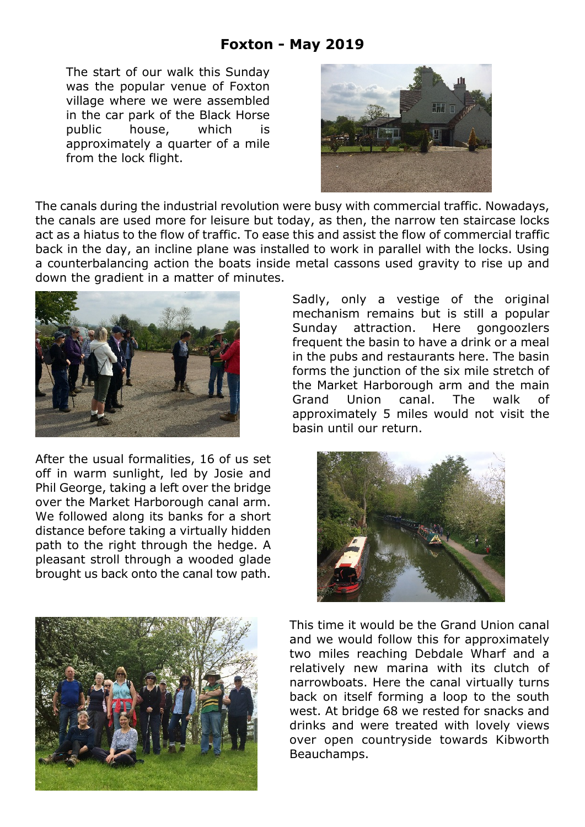## **Foxton - May 2019**

The start of our walk this Sunday was the popular venue of Foxton village where we were assembled in the car park of the Black Horse public house, which is approximately a quarter of a mile from the lock flight.



The canals during the industrial revolution were busy with commercial traffic. Nowadays, the canals are used more for leisure but today, as then, the narrow ten staircase locks act as a hiatus to the flow of traffic. To ease this and assist the flow of commercial traffic back in the day, an incline plane was installed to work in parallel with the locks. Using a counterbalancing action the boats inside metal cassons used gravity to rise up and down the gradient in a matter of minutes.



After the usual formalities, 16 of us set off in warm sunlight, led by Josie and Phil George, taking a left over the bridge over the Market Harborough canal arm. We followed along its banks for a short distance before taking a virtually hidden path to the right through the hedge. A pleasant stroll through a wooded glade brought us back onto the canal tow path.

Sadly, only a vestige of the original mechanism remains but is still a popular Sunday attraction. Here gongoozlers frequent the basin to have a drink or a meal in the pubs and restaurants here. The basin forms the junction of the six mile stretch of the Market Harborough arm and the main Grand Union canal. The walk of approximately 5 miles would not visit the basin until our return.





This time it would be the Grand Union canal and we would follow this for approximately two miles reaching Debdale Wharf and a relatively new marina with its clutch of narrowboats. Here the canal virtually turns back on itself forming a loop to the south west. At bridge 68 we rested for snacks and drinks and were treated with lovely views over open countryside towards Kibworth Beauchamps.